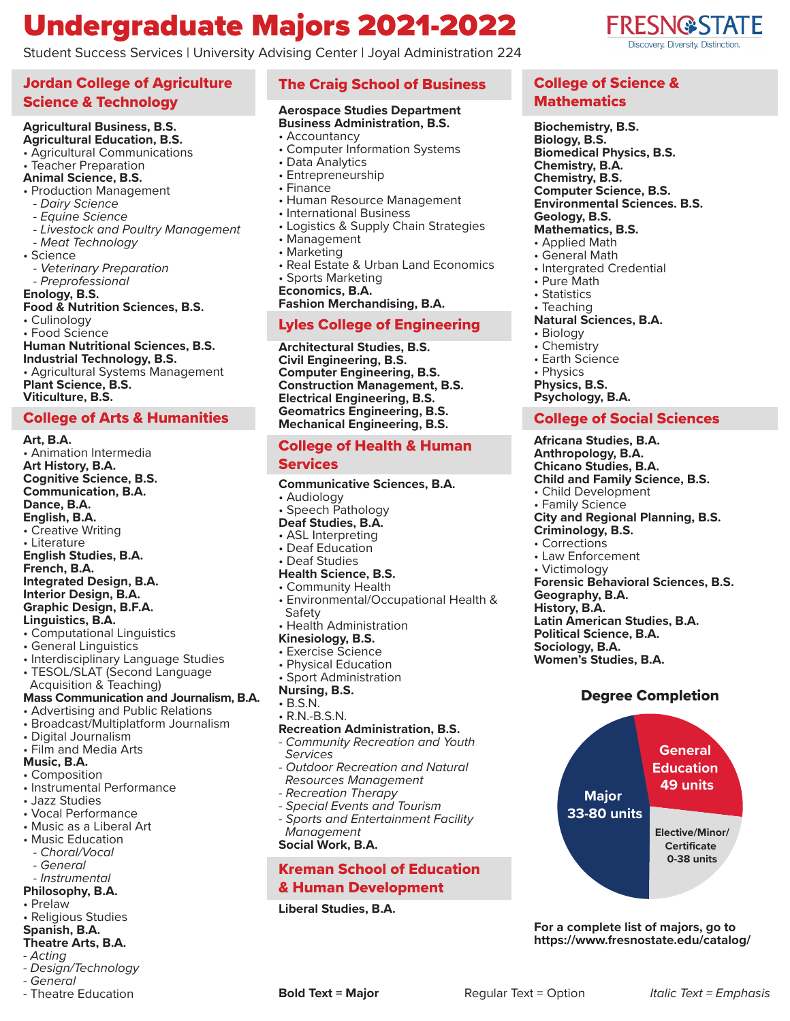## Undergraduate Majors 2021-2022

Student Success Services | University Advising Center | Joyal Administration 224

#### Jordan College of Agriculture Science & Technology

## **Agricultural Business, B.S.**

#### **Agricultural Education, B.S.**

- Agricultural Communications
- Teacher Preparation

#### **Animal Science, B.S.**

- Production Management
- *Dairy Science*
- *Equine Science*
- *Livestock and Poultry Management*
- *Meat Technology*
- Science
- *Veterinary Preparation - Preprofessional*
- **Enology, B.S.**

#### **Food & Nutrition Sciences, B.S.**

- Culinology
- Food Science
- **Human Nutritional Sciences, B.S. Industrial Technology, B.S.**

• Agricultural Systems Management **Plant Science, B.S. Viticulture, B.S.**

#### College of Arts & Humanities

**Art, B.A.** • Animation Intermedia **Art History, B.A. Cognitive Science, B.S. Communication, B.A. Dance, B.A. English, B.A.** • Creative Writing • Literature **English Studies, B.A. French, B.A. Integrated Design, B.A. Interior Design, B.A. Graphic Design, B.F.A. Linguistics, B.A.** • Computational Linguistics • General Linguistics • Interdisciplinary Language Studies • TESOL/SLAT (Second Language Acquisition & Teaching) **Mass Communication and Journalism, B.A.**  • Advertising and Public Relations • Broadcast/Multiplatform Journalism • Digital Journalism • Film and Media Arts **Music, B.A.** • Composition • Instrumental Performance

- Jazz Studies
- 
- Vocal Performance
- Music as a Liberal Art
- Music Education
- *Choral/Vocal*
- *General*
- *Instrumental*
- **Philosophy, B.A.**
- Prelaw
- Religious Studies
- **Spanish, B.A. Theatre Arts, B.A.**
- *Acting*
- *Design/Technology*
- *General*
- Theatre Education

#### The Craig School of Business

#### **Aerospace Studies Department Business Administration, B.S.**

- Accountancy
- Computer Information Systems
- Data Analytics
- Entrepreneurship
- Finance
- Human Resource Management
- International Business
- Logistics & Supply Chain Strategies
- Management
- Marketing
- Real Estate & Urban Land Economics • Sports Marketing
- **Economics, B.A.**

**Fashion Merchandising, B.A.**

#### Lyles College of Engineering

**Architectural Studies, B.S. Civil Engineering, B.S. Computer Engineering, B.S. Construction Management, B.S. Electrical Engineering, B.S. Geomatrics Engineering, B.S. Mechanical Engineering, B.S.**

## College of Health & Human

**Services Communicative Sciences, B.A.** • Audiology • Speech Pathology **Deaf Studies, B.A.** • ASL Interpreting • Deaf Education • Deaf Studies **Health Science, B.S.** • Community Health • Environmental/Occupational Health & Safety • Health Administration **Kinesiology, B.S.** • Exercise Science • Physical Education • Sport Administration **Nursing, B.S.** • B.S.N. • R.N.-B.S.N. **Recreation Administration, B.S.** *- Community Recreation and Youth Services - Outdoor Recreation and Natural Resources Management - Recreation Therapy - Special Events and Tourism*

*- Sports and Entertainment Facility Management*

**Social Work, B.A.**

#### Kreman School of Education & Human Development

**Liberal Studies, B.A.**

#### College of Science & **Mathematics**

**Biochemistry, B.S. Biology, B.S. Biomedical Physics, B.S. Chemistry, B.A. Chemistry, B.S. Computer Science, B.S. Environmental Sciences. B.S. Geology, B.S.**

#### **Mathematics, B.S.**

- Applied Math
- General Math
- Intergrated Credential
- Pure Math
- Statistics
- Teaching
- **Natural Sciences, B.A.**
- Biology • Chemistry
- Earth Science
- Physics **Physics, B.S.**
- **Psychology, B.A.**

#### College of Social Sciences

**Africana Studies, B.A. Anthropology, B.A. Chicano Studies, B.A. Child and Family Science, B.S.** • Child Development • Family Science **City and Regional Planning, B.S. Criminology, B.S.** • Corrections • Law Enforcement • Victimology **Forensic Behavioral Sciences, B.S. Geography, B.A. History, B.A. Latin American Studies, B.A. Political Science, B.A. Sociology, B.A. Women's Studies, B.A.**

#### Degree Completion



**For a complete list of majors, go to https://www.fresnostate.edu/catalog/**

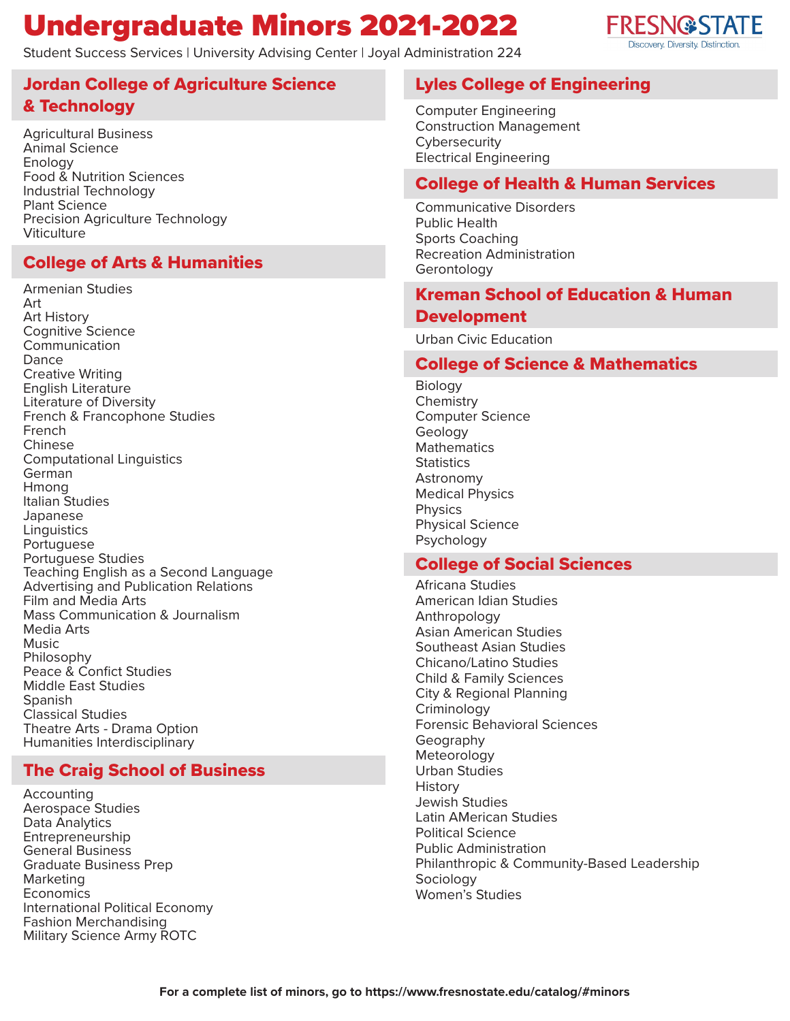## Undergraduate Minors 2021-2022

Student Success Services | University Advising Center | Joyal Administration 224



Agricultural Business Animal Science Enology Food & Nutrition Sciences Industrial Technology Plant Science Precision Agriculture Technology **Viticulture** 

## College of Arts & Humanities

Armenian Studies Art Art History Cognitive Science **Communication Dance** Creative Writing English Literature Literature of Diversity French & Francophone Studies French Chinese Computational Linguistics German Hmong Italian Studies Japanese **Linguistics** Portuguese Portuguese Studies Teaching English as a Second Language Advertising and Publication Relations Film and Media Arts Mass Communication & Journalism Media Arts Music Philosophy Peace & Confict Studies Middle East Studies Spanish Classical Studies Theatre Arts - Drama Option Humanities Interdisciplinary

## The Craig School of Business

Accounting Aerospace Studies Data Analytics Entrepreneurship General Business Graduate Business Prep Marketing Economics International Political Economy Fashion Merchandising Military Science Army ROTC

## Lyles College of Engineering

Computer Engineering Construction Management **Cybersecurity** Electrical Engineering

### College of Health & Human Services

Communicative Disorders Public Health Sports Coaching Recreation Administration Gerontology

### Kreman School of Education & Human Development

Urban Civic Education

### College of Science & Mathematics

Biology **Chemistry** Computer Science Geology Mathematics **Statistics** Astronomy Medical Physics Physics Physical Science Psychology

## College of Social Sciences

Africana Studies American Idian Studies Anthropology Asian American Studies Southeast Asian Studies Chicano/Latino Studies Child & Family Sciences City & Regional Planning **Criminology** Forensic Behavioral Sciences Geography **Meteorology** Urban Studies History Jewish Studies Latin AMerican Studies Political Science Public Administration Philanthropic & Community-Based Leadership Sociology Women's Studies

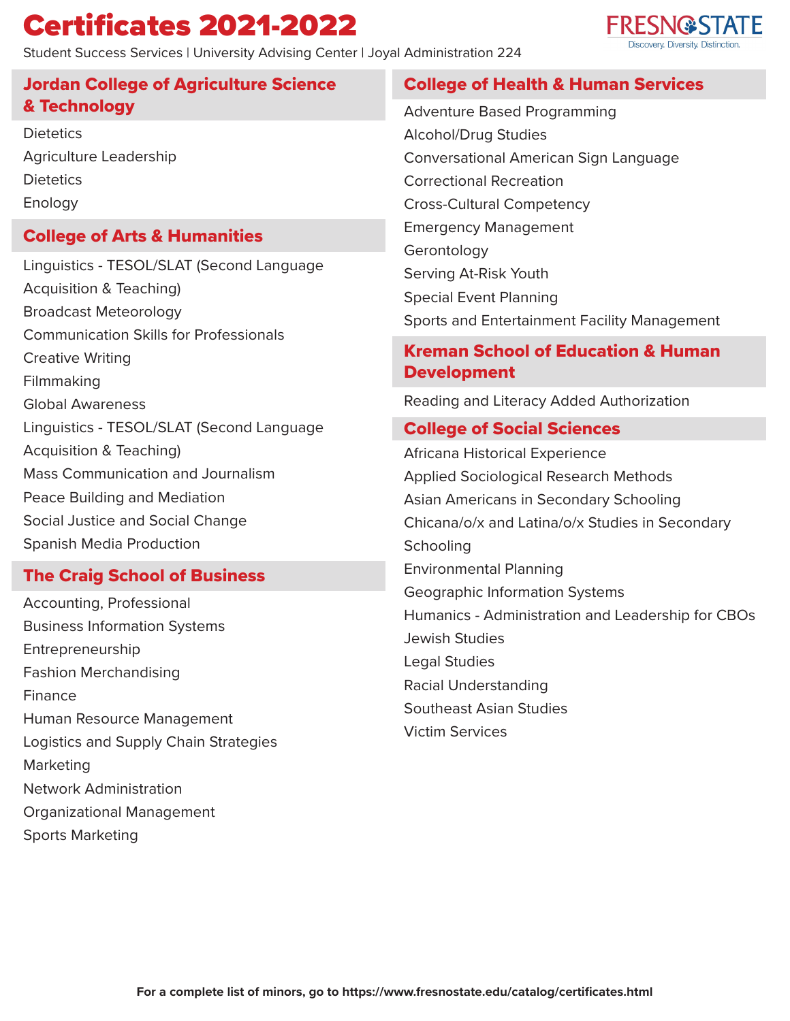## Certificates 2021-2022

The Craig School of Business

Peace Building and Mediation Social Justice and Social Change

Spanish Media Production

Accounting, Professional

Fashion Merchandising

Network Administration

Sports Marketing

Organizational Management

Entrepreneurship

Finance

Marketing

Business Information Systems

Human Resource Management

Logistics and Supply Chain Strategies

Student Success Services | University Advising Center | Joyal Administration 224

# **FRESN@STATE**

#### Jordan College of Agriculture Science & Technology College of Arts & Humanities College of Health & Human Services Kreman School of Education & Human **Development** College of Social Sciences **Dietetics** Agriculture Leadership **Dietetics** Enology Linguistics - TESOL/SLAT (Second Language Acquisition & Teaching) Broadcast Meteorology Communication Skills for Professionals Creative Writing Filmmaking Global Awareness Linguistics - TESOL/SLAT (Second Language Acquisition & Teaching) Mass Communication and Journalism Adventure Based Programming Alcohol/Drug Studies Conversational American Sign Language Correctional Recreation Cross-Cultural Competency Emergency Management Gerontology Serving At-Risk Youth Special Event Planning Sports and Entertainment Facility Management Reading and Literacy Added Authorization Africana Historical Experience Applied Sociological Research Methods

Asian Americans in Secondary Schooling Chicana/o/x and Latina/o/x Studies in Secondary **Schooling** Environmental Planning Geographic Information Systems Humanics - Administration and Leadership for CBOs Jewish Studies Legal Studies Racial Understanding Southeast Asian Studies Victim Services